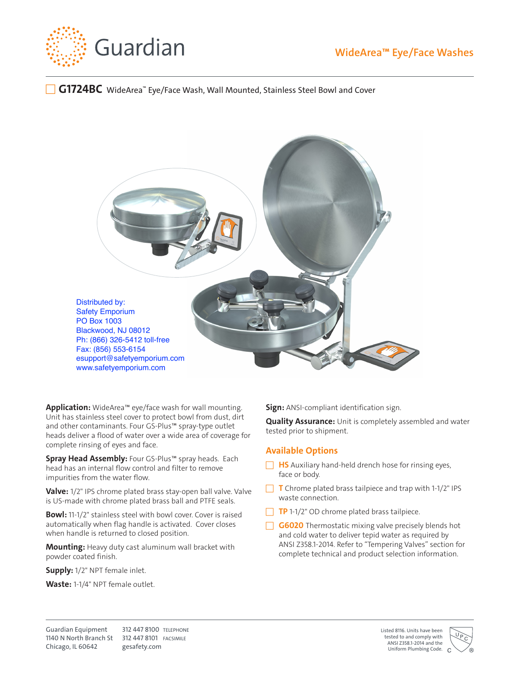

## **WideArea™ Eye/Face Washes**

## **G1724BC** WideArea™ Eye/Face Wash, Wall Mounted, Stainless Steel Bowl and Cover



**Application:** WideArea™ eye/face wash for wall mounting. Unit has stainless steel cover to protect bowl from dust, dirt and other contaminants. Four GS-Plus™ spray-type outlet heads deliver a flood of water over a wide area of coverage for complete rinsing of eyes and face.

**Spray Head Assembly:** Four GS-Plus™ spray heads. Each head has an internal flow control and filter to remove impurities from the water flow.

**Valve:** 1/2" IPS chrome plated brass stay-open ball valve. Valve is US-made with chrome plated brass ball and PTFE seals.

**Bowl:** 11-1/2" stainless steel with bowl cover. Cover is raised automatically when flag handle is activated. Cover closes when handle is returned to closed position.

**Mounting:** Heavy duty cast aluminum wall bracket with powder coated finish.

**Supply:** 1/2" NPT female inlet.

**Waste:** 1-1/4" NPT female outlet.

**Sign:** ANSI-compliant identification sign.

**Quality Assurance:** Unit is completely assembled and water tested prior to shipment.

## **Available Options**

- **HS** Auxiliary hand-held drench hose for rinsing eyes, face or body.
- $\Box$  **T** Chrome plated brass tailpiece and trap with 1-1/2" IPS waste connection.
- $\Box$  **TP** 1-1/2" OD chrome plated brass tailpiece.
- **G6020** Thermostatic mixing valve precisely blends hot and cold water to deliver tepid water as required by ANSI Z358.1-2014. Refer to "Tempering Valves" section for complete technical and product selection information.